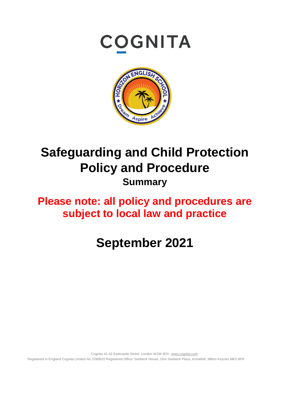



# **Safeguarding and Child Protection Policy and Procedure Summary**

# **Please note: all policy and procedures are subject to local law and practice**

# **September 2021**

Cognita 41-42 Eastcastle Street, London W1W 8D[Y, www.cognita.com](http://www.cognita.com/)  Registered in England Cognita Limited No 5280910 Registered Office: Seebeck House, One Seebeck Place, Knowlhill, Milton Keynes MK5 8FR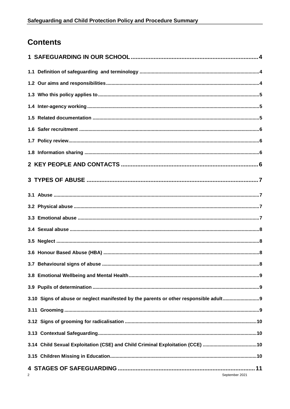## **Contents**

| 3.10 Signs of abuse or neglect manifested by the parents or other responsible adult |  |
|-------------------------------------------------------------------------------------|--|
|                                                                                     |  |
|                                                                                     |  |
|                                                                                     |  |
|                                                                                     |  |
|                                                                                     |  |
| September 2021                                                                      |  |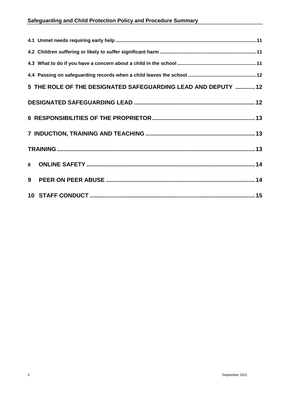## **Safeguarding and Child Protection Policy and Procedure Summary**

|   | 5 THE ROLE OF THE DESIGNATED SAFEGUARDING LEAD AND DEPUTY  12 |  |
|---|---------------------------------------------------------------|--|
|   |                                                               |  |
|   |                                                               |  |
|   |                                                               |  |
|   |                                                               |  |
|   |                                                               |  |
| 9 |                                                               |  |
|   |                                                               |  |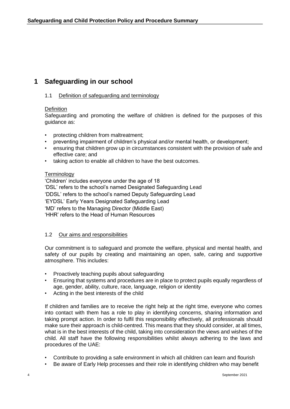## <span id="page-3-1"></span><span id="page-3-0"></span>**1 Safeguarding in our school**

#### 1.1 Definition of safeguarding and terminology

#### **Definition**

Safeguarding and promoting the welfare of children is defined for the purposes of this guidance as:

- protecting children from maltreatment;
- preventing impairment of children's physical and/or mental health, or development;
- ensuring that children grow up in circumstances consistent with the provision of safe and effective care; and
- taking action to enable all children to have the best outcomes.

#### **Terminology**

'Children' includes everyone under the age of 18 'DSL' refers to the school's named Designated Safeguarding Lead 'DDSL' refers to the school's named Deputy Safeguarding Lead 'EYDSL' Early Years Designated Safeguarding Lead 'MD' refers to the Managing Director (Middle East) 'HHR' refers to the Head of Human Resources

#### <span id="page-3-2"></span>1.2 Our aims and responsibilities

Our commitment is to safeguard and promote the welfare, physical and mental health, and safety of our pupils by creating and maintaining an open, safe, caring and supportive atmosphere. This includes:

- Proactively teaching pupils about safeguarding
- Ensuring that systems and procedures are in place to protect pupils equally regardless of age, gender, ability, culture, race, language, religion or identity
- Acting in the best interests of the child

If children and families are to receive the right help at the right time, everyone who comes into contact with them has a role to play in identifying concerns, sharing information and taking prompt action. In order to fulfil this responsibility effectively, all professionals should make sure their approach is child-centred. This means that they should consider, at all times, what is in the best interests of the child, taking into consideration the views and wishes of the child. All staff have the following responsibilities whilst always adhering to the laws and procedures of the UAE:

- Contribute to providing a safe environment in which all children can learn and flourish
- Be aware of Early Help processes and their role in identifying children who may benefit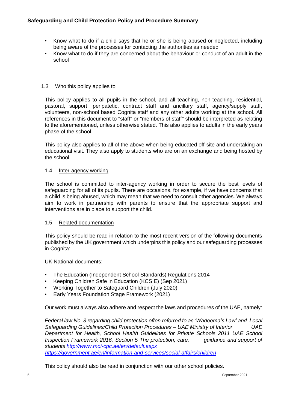- Know what to do if a child says that he or she is being abused or neglected, including being aware of the processes for contacting the authorities as needed
- Know what to do if they are concerned about the behaviour or conduct of an adult in the school

#### <span id="page-4-0"></span>1.3 Who this policy applies to

This policy applies to all pupils in the school, and all teaching, non-teaching, residential, pastoral, support, peripatetic, contract staff and ancillary staff, agency/supply staff, volunteers, non-school based Cognita staff and any other adults working at the school. All references in this document to "staff" or "members of staff" should be interpreted as relating to the aforementioned, unless otherwise stated. This also applies to adults in the early years phase of the school.

This policy also applies to all of the above when being educated off-site and undertaking an educational visit. They also apply to students who are on an exchange and being hosted by the school.

#### <span id="page-4-1"></span>1.4 Inter-agency working

The school is committed to inter-agency working in order to secure the best levels of safeguarding for all of its pupils. There are occasions, for example, if we have concerns that a child is being abused, which may mean that we need to consult other agencies. We always aim to work in partnership with parents to ensure that the appropriate support and interventions are in place to support the child.

#### <span id="page-4-2"></span>1.5 Related documentation

This policy should be read in relation to the most recent version of the following documents published by the UK government which underpins this policy and our safeguarding processes in Cognita:

UK National documents:

- The Education (Independent School Standards) Regulations 2014
- Keeping Children Safe in Education [\(KCSIE\)](https://assets.publishing.service.gov.uk/government/uploads/system/uploads/attachment_data/file/999348/Keeping_children_safe_in_education_2021.pdf) (Sep 2021)
- Working Together to Safeguard Children (July 2020)
- Early Years Foundation Stage Framework (2021)

Our work must always also adhere and respect the laws and procedures of the UAE, namely:

*Federal law No. 3 regarding child protection often referred to as 'Wadeema's Law' and Local Safeguarding Guidelines/Child Protection Procedures – UAE Ministry of Interior UAE Department for Health, School Health Guidelines for Private Schools 2011 UAE School Inspection Framework 2016, Section 5 The protection, care, guidance and support of students <http://www.moi-cpc.ae/en/default.aspx> <https://government.ae/en/information-and-services/social-affairs/children>*

This policy should also be read in conjunction with our other school policies.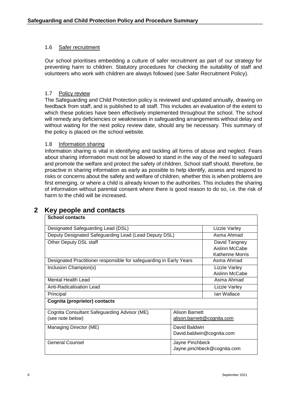#### <span id="page-5-0"></span>1.6 Safer recruitment

Our school prioritises embedding a culture of safer recruitment as part of our strategy for preventing harm to children. Statutory procedures for checking the suitability of staff and volunteers who work with children are always followed (see Safer Recruitment Policy).

#### <span id="page-5-1"></span>1.7 Policy review

The Safeguarding and Child Protection policy is reviewed and updated annually, drawing on feedback from staff, and is published to all staff. This includes an evaluation of the extent to which these policies have been effectively implemented throughout the school. The school will remedy any deficiencies or weaknesses in safeguarding arrangements without delay and without waiting for the next policy review date, should any be necessary. This summary of the policy is placed on the school website.

#### <span id="page-5-2"></span>1.8 Information sharing

Information sharing is vital in identifying and tackling all forms of abuse and neglect. Fears about sharing information must not be allowed to stand in the way of the need to safeguard and promote the welfare and protect the safety of children. School staff should, therefore, be proactive in sharing information as early as possible to help identify, assess and respond to risks or concerns about the safety and welfare of children, whether this is when problems are first emerging, or where a child is already known to the authorities. This includes the sharing of information without parental consent where there is good reason to do so, i.e. the risk of harm to the child will be increased.

| <b>School contacts</b>                                              |                                                |                                                            |  |
|---------------------------------------------------------------------|------------------------------------------------|------------------------------------------------------------|--|
| Designated Safeguarding Lead (DSL)                                  |                                                | Lizzie Varley                                              |  |
| Deputy Designated Safeguarding Lead (Lead Deputy DSL)               |                                                | Asma Ahmad                                                 |  |
| Other Deputy DSL staff                                              |                                                | David Tangney<br>Aislinn McCabe<br><b>Katherine Morris</b> |  |
| Designated Practitioner responsible for safeguarding in Early Years |                                                | Asma Ahmad                                                 |  |
| Inclusion Champion(s)                                               |                                                | Lizzie Varley<br>Aislinn McCabe                            |  |
| Mental Health Lead                                                  |                                                | Asma Ahmad                                                 |  |
| Anti-Radicalisation Lead                                            |                                                | <b>Lizzie Varley</b>                                       |  |
| Principal                                                           |                                                | Ian Wallace                                                |  |
| <b>Cognita (proprietor) contacts</b>                                |                                                |                                                            |  |
| Cognita Consultant Safeguarding Advisor (ME)<br>(see note below)    |                                                | Alison Barnett<br>alison.barnett@cognita.com               |  |
| Managing Director (ME)                                              | David Baldwin<br>David.baldwin@cognita.com     |                                                            |  |
| <b>General Counsel</b>                                              | Jayne Pinchbeck<br>Jayne.pinchbeck@cognita.com |                                                            |  |

## <span id="page-5-3"></span>**2 Key people and contacts**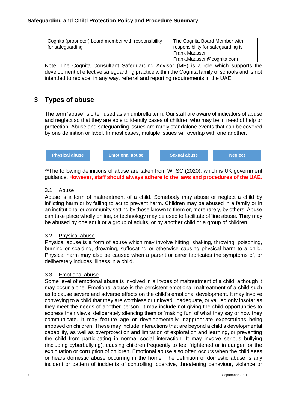| Cognita (proprietor) board member with responsibility                              | The Cognita Board Member with      |
|------------------------------------------------------------------------------------|------------------------------------|
| for safeguarding                                                                   | responsibility for safeguarding is |
|                                                                                    | Frank Maassen                      |
|                                                                                    | Frank.Maassen@cognita.com          |
| ulato: The Compite Consultant Cofesuarding Adviser (ME) is a relativish cupperte t |                                    |

Note: The Cognita Consultant Safeguarding Advisor (ME) is a role which supports the development of effective safeguarding practice within the Cognita family of schools and is not intended to replace, in any way, referral and reporting requirements in the UAE.

## <span id="page-6-0"></span>**3 Types of abuse**

The term 'abuse' is often used as an umbrella term. Our staff are aware of indicators of abuse and neglect so that they are able to identify cases of children who may be in need of help or protection. Abuse and safeguarding issues are rarely standalone events that can be covered by one definition or label. In most cases, multiple issues will overlap with one another.



\*\*The following definitions of abuse are taken from WTSC (2020), which is UK government guidance. **However, staff should always adhere to the laws and procedures of the UAE.**

#### <span id="page-6-1"></span>3.1 Abuse

Abuse is a form of maltreatment of a child. Somebody may abuse or neglect a child by inflicting harm or by failing to act to prevent harm. Children may be abused in a family or in an institutional or community setting by those known to them or, more rarely, by others. Abuse can take place wholly online, or technology may be used to facilitate offline abuse. They may be abused by one adult or a group of adults, or by another child or a group of children.

#### <span id="page-6-2"></span>3.2 Physical abuse

Physical abuse is a form of abuse which may involve hitting, shaking, throwing, poisoning, burning or scalding, drowning, suffocating or otherwise causing physical harm to a child. Physical harm may also be caused when a parent or carer fabricates the symptoms of, or deliberately induces, illness in a child.

#### <span id="page-6-3"></span>3.3 Emotional abuse

Some level of emotional abuse is involved in all types of maltreatment of a child, although it may occur alone. Emotional abuse is the persistent emotional maltreatment of a child such as to cause severe and adverse effects on the child's emotional development. It may involve conveying to a child that they are worthless or unloved, inadequate, or valued only insofar as they meet the needs of another person. It may include not giving the child opportunities to express their views, deliberately silencing them or 'making fun' of what they say or how they communicate. It may feature age or developmentally inappropriate expectations being imposed on children. These may include interactions that are beyond a child's developmental capability, as well as overprotection and limitation of exploration and learning, or preventing the child from participating in normal social interaction. It may involve serious bullying (including cyberbullying), causing children frequently to feel frightened or in danger, or the exploitation or corruption of children. Emotional abuse also often occurs when the child sees or hears domestic abuse occurring in the home. The definition of domestic abuse is any incident or pattern of incidents of controlling, coercive, threatening behaviour, violence or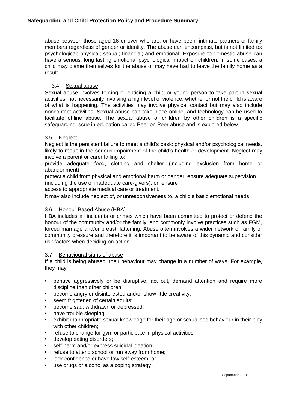abuse between those aged 16 or over who are, or have been, intimate partners or family members regardless of gender or identity. The abuse can encompass, but is not limited to: psychological; physical; sexual; financial; and emotional. Exposure to domestic abuse can have a serious, long lasting emotional psychological impact on children. In some cases, a child may blame themselves for the abuse or may have had to leave the family home as a result.

#### 3.4 Sexual abuse

<span id="page-7-0"></span>Sexual abuse involves forcing or enticing a child or young person to take part in sexual activities, not necessarily involving a high level of violence, whether or not the child is aware of what is happening. The activities may involve physical contact but may also include noncontact activities. Sexual abuse can take place online, and technology can be used to facilitate offline abuse. The sexual abuse of children by other children is a specific safeguarding issue in education called Peer on Peer abuse and is explored below.

#### <span id="page-7-1"></span>3.5 Neglect

Neglect is the persistent failure to meet a child's basic physical and/or psychological needs, likely to result in the serious impairment of the child's health or development. Neglect may involve a parent or carer failing to:

provide adequate food, clothing and shelter (including exclusion from home or abandonment);

protect a child from physical and emotional harm or danger; ensure adequate supervision (including the use of inadequate care-givers); or ensure

access to appropriate medical care or treatment.

It may also include neglect of, or unresponsiveness to, a child's basic emotional needs.

#### <span id="page-7-2"></span>3.6 Honour Based Abuse (HBA)

HBA includes all incidents or crimes which have been committed to protect or defend the honour of the community and/or the family, and commonly involve practices such as FGM, forced marriage and/or breast flattening. Abuse often involves a wider network of family or community pressure and therefore it is important to be aware of this dynamic and consider risk factors when deciding on action.

#### <span id="page-7-3"></span>3.7 Behavioural signs of abuse

If a child is being abused, their behaviour may change in a number of ways. For example, they may:

- behave aggressively or be disruptive, act out, demand attention and require more discipline than other children;
- become angry or disinterested and/or show little creativity;
- seem frightened of certain adults;
- become sad, withdrawn or depressed;
- have trouble sleeping;
- exhibit inappropriate sexual knowledge for their age or sexualised behaviour in their play with other children;
- refuse to change for gym or participate in physical activities;
- develop eating disorders;
- self-harm and/or express suicidal ideation;
- refuse to attend school or run away from home;
- lack confidence or have low self-esteem; or
- use drugs or alcohol as a coping strategy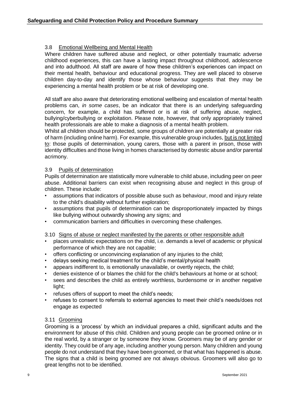#### <span id="page-8-0"></span>3.8 Emotional Wellbeing and Mental Health

Where children have suffered abuse and neglect, or other potentially traumatic adverse childhood experiences, this can have a lasting impact throughout childhood, adolescence and into adulthood. All staff are aware of how these children's experiences can impact on their mental health, behaviour and educational progress. They are well placed to observe children day-to-day and identify those whose behaviour suggests that they may be experiencing a mental health problem or be at risk of developing one.

All staff are also aware that deteriorating emotional wellbeing and escalation of mental health problems can, *in some cases*, be an indicator that there is an underlying safeguarding concern, for example, a child has suffered or is at risk of suffering abuse, neglect, bullying/cyberbullying or exploitation. Please note, however, that only appropriately trained health professionals are able to make a diagnosis of a mental health problem.

Whilst all children should be protected, some groups of children are potentially at greater risk of harm (including online harm). For example, this vulnerable group includes, but is not limited to: those pupils of determination, young carers, those with a parent in prison, those with identity difficulties and those living in homes characterised by domestic abuse and/or parental acrimony.

#### <span id="page-8-1"></span>3.9 Pupils of determination

Pupils of determination are statistically more vulnerable to child abuse, including peer on peer abuse. Additional barriers can exist when recognising abuse and neglect in this group of children. These include:

- assumptions that indicators of possible abuse such as behaviour, mood and injury relate to the child's disability without further exploration;
- assumptions that pupils of determination can be disproportionately impacted by things like bullying without outwardly showing any signs; and
- communication barriers and difficulties in overcoming these challenges.

#### <span id="page-8-2"></span>3.10 Signs of abuse or neglect manifested by the parents or other responsible adult

- places unrealistic expectations on the child, i.e. demands a level of academic or physical performance of which they are not capable;
- offers conflicting or unconvincing explanation of any injuries to the child;
- delays seeking medical treatment for the child's mental/physical health
- appears indifferent to, is emotionally unavailable, or overtly rejects, the child;
- denies existence of or blames the child for the child's behaviours at home or at school;
- sees and describes the child as entirely worthless, burdensome or in another negative light;
- refuses offers of support to meet the child's needs;
- refuses to consent to referrals to external agencies to meet their child's needs/does not engage as expected

#### <span id="page-8-3"></span>3.11 Grooming

Grooming is a 'process' by which an individual prepares a child, significant adults and the environment for abuse of this child. Children and young people can be groomed online or in the real world, by a stranger or by someone they know. Groomers may be of any gender or identity. They could be of any age, including another young person. Many children and young people do not understand that they have been groomed, or that what has happened is abuse. The signs that a child is being groomed are not always obvious. Groomers will also go to great lengths not to be identified.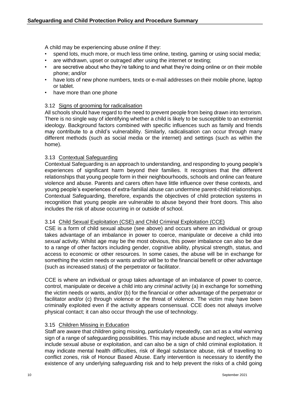A child may be experiencing abuse *online* if they:

- spend lots, much more, or much less time online, texting, gaming or using social media;
- are withdrawn, upset or outraged after using the internet or texting;
- are secretive about who they're talking to and what they're doing online or on their mobile phone; and/or
- have lots of new phone numbers, texts or e-mail addresses on their mobile phone, laptop or tablet.
- have more than one phone

#### <span id="page-9-0"></span>3.12 Signs of grooming for radicalisation

All schools should have regard to the need to prevent people from being drawn into terrorism. There is no single way of identifying whether a child is likely to be susceptible to an extremist ideology. Background factors combined with specific influences such as family and friends may contribute to a child's vulnerability. Similarly, radicalisation can occur through many different methods (such as social media or the internet) and settings (such as within the home).

#### <span id="page-9-1"></span>3.13 Contextual Safeguarding

Contextual Safeguarding is an approach to understanding, and responding to young people's experiences of significant harm beyond their families. It recognises that the different relationships that young people form in their neighbourhoods, schools and online can feature violence and abuse. Parents and carers often have little influence over these contexts, and young people's experiences of extra-familial abuse can undermine parent-child relationships. Contextual Safeguarding, therefore, expands the objectives of child protection systems in recognition that young people are vulnerable to abuse beyond their front doors. This also includes the risk of abuse occurring in or outside of school.

#### <span id="page-9-2"></span>3.14 Child Sexual Exploitation (CSE) and Child Criminal Exploitation (CCE)

CSE is a form of child sexual abuse (see above) and occurs where an individual or group takes advantage of an imbalance in power to coerce, manipulate or deceive a child into *sexual* activity. Whilst age may be the most obvious, this power imbalance can also be due to a range of other factors including gender, cognitive ability, physical strength, status, and access to economic or other resources. In some cases, the abuse will be in exchange for something the victim needs or wants and/or will be to the financial benefit or other advantage (such as increased status) of the perpetrator or facilitator.

CCE is where an individual or group takes advantage of an imbalance of power to coerce, control, manipulate or deceive a child into any *criminal* activity (a) in exchange for something the victim needs or wants, and/or (b) for the financial or other advantage of the perpetrator or facilitator and/or (c) through violence or the threat of violence. The victim may have been criminally exploited even if the activity appears consensual. CCE does not always involve physical contact; it can also occur through the use of technology.

#### <span id="page-9-3"></span>3.15 Children Missing in Education

Staff are aware that children going missing, particularly repeatedly, can act as a vital warning sign of a range of safeguarding possibilities. This may include abuse and neglect, which may include sexual abuse or exploitation, and can also be a sign of child criminal exploitation. It may indicate mental health difficulties, risk of illegal substance abuse, risk of travelling to conflict zones, risk of Honour Based Abuse. Early intervention is necessary to identify the existence of any underlying safeguarding risk and to help prevent the risks of a child going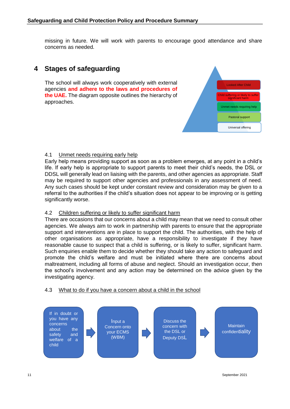missing in future. We will work with parents to encourage good attendance and share concerns as needed.

## <span id="page-10-0"></span>**4 Stages of safeguarding**

The school will always work cooperatively with external agencies **and adhere to the laws and procedures of the UAE.** The diagram opposite outlines the hierarchy of approaches.



#### <span id="page-10-1"></span>4.1 Unmet needs requiring early help

Early help means providing support as soon as a problem emerges, at any point in a child's life. If early help is appropriate to support parents to meet their child's needs, the DSL or DDSL will generally lead on liaising with the parents, and other agencies as appropriate. Staff may be required to support other agencies and professionals in any assessment of need. Any such cases should be kept under constant review and consideration may be given to a referral to the authorities if the child's situation does not appear to be improving or is getting significantly worse.

#### <span id="page-10-2"></span>4.2 Children suffering or likely to suffer significant harm

There are occasions that our concerns about a child may mean that we need to consult other agencies. We always aim to work in partnership with parents to ensure that the appropriate support and interventions are in place to support the child. The authorities, with the help of other organisations as appropriate, have a responsibility to investigate if they have reasonable cause to suspect that a child is suffering, or is likely to suffer, significant harm. Such enquiries enable them to decide whether they should take any action to safeguard and promote the child's welfare and must be initiated where there are concerns about maltreatment, including all forms of abuse and neglect. Should an investigation occur, then the school's involvement and any action may be determined on the advice given by the investigating agency.

#### 4.3 What to do if you have a concern about a child in the school

<span id="page-10-3"></span>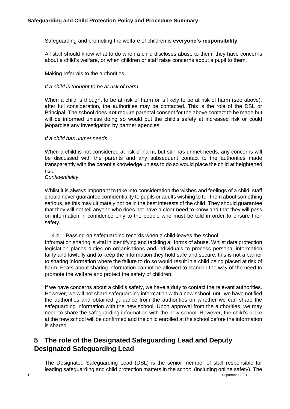#### Safeguarding and promoting the welfare of children is **everyone's responsibility**.

All staff should know what to do when a child discloses abuse to them, they have concerns about a child's welfare, or when children or staff raise concerns about a pupil to them.

#### Making referrals to the authorities

#### *If a child is thought to be at risk of harm*

When a child is thought to be at risk of harm or is likely to be at risk of harm (see above), after full consideration, the authorities may be contacted. This is the role of the DSL or Principal. The school does **not** require parental consent for the above contact to be made but will be informed unless doing so would put the child's safety at increased risk or could jeopardise any investigation by partner agencies.

#### *If a child has unmet needs*

When a child is not considered at risk of harm, but still has unmet needs, any concerns will be discussed with the parents and any subsequent contact to the authorities made transparently with the parent's knowledge unless to do so would place the child at heightened risk.

#### *Confidentiality*

Whilst it is always important to take into consideration the wishes and feelings of a child, staff should never guarantee confidentiality to pupils or adults wishing to tell them about something serious, as this may ultimately not be in the best interests of the child. They should guarantee that they will not tell anyone who does not have a clear need to know and that they will pass on information in confidence only to the people who must be told in order to ensure their safety.

#### 4.4 Passing on safeguarding records when a child leaves the school

<span id="page-11-0"></span>Information sharing is vital in identifying and tackling all forms of abuse. Whilst data protection legislation places duties on organisations and individuals to process personal information fairly and lawfully and to keep the information they hold safe and secure, this is not a barrier to sharing information where the failure to do so would result in a child being placed at risk of harm. Fears about sharing information cannot be allowed to stand in the way of the need to promote the welfare and protect the safety of children.

If we have concerns about a child's safety, we have a duty to contact the relevant authorities. However, we will not share safeguarding information with a new school, until we have notified the authorities and obtained guidance from the authorities on whether we can share the safeguarding information with the new school. Upon approval from the authorities, we may need to share the safeguarding information with the new school. However, the child's place at the new school will be confirmed and the child enrolled at the school before the information is shared.

## <span id="page-11-2"></span><span id="page-11-1"></span>**5 The role of the Designated Safeguarding Lead and Deputy Designated Safeguarding Lead**

12 September 2021 The Designated Safeguarding Lead (DSL) is the senior member of staff responsible for leading safeguarding and child protection matters in the school (including online safety). The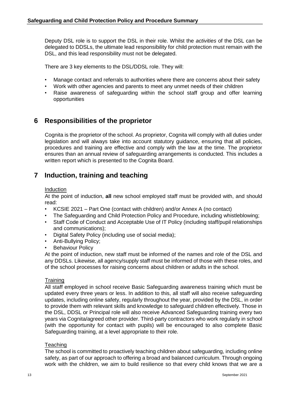Deputy DSL role is to support the DSL in their role. Whilst the *activities* of the DSL can be delegated to DDSLs, the ultimate lead responsibility for child protection must remain with the DSL, and this lead responsibility must not be delegated.

There are 3 key elements to the DSL/DDSL role. They will:

- Manage contact and referrals to authorities where there are concerns about their safety
- Work with other agencies and parents to meet any unmet needs of their children
- Raise awareness of safeguarding within the school staff group and offer learning opportunities

## <span id="page-12-0"></span>**6 Responsibilities of the proprietor**

Cognita is the proprietor of the school. As proprietor, Cognita will comply with all duties under legislation and will always take into account statutory guidance, ensuring that all policies, procedures and training are effective and comply with the law at the time. The proprietor ensures than an annual review of safeguarding arrangements is conducted. This includes a written report which is presented to the Cognita Board.

## <span id="page-12-1"></span>**7 Induction, training and teaching**

#### Induction

At the point of induction, **all** new school employed staff must be provided with, and should read:

- KCSIE 2021 Part One (contact with children) and/or Annex A (no contact)
- The Safeguarding and Child Protection Policy and Procedure, including whistleblowing;
- Staff Code of Conduct and Acceptable Use of IT Policy (including staff/pupil relationships and communications);
- Digital Safety Policy (including use of social media);
- Anti-Bullying Policy;
- **Behaviour Policy**

At the point of induction, new staff must be informed of the names and role of the DSL and any DDSLs. Likewise, all agency/supply staff must be informed of those with these roles, and of the school processes for raising concerns about children or adults in the school.

#### <span id="page-12-2"></span>**Training**

All staff employed in school receive Basic Safeguarding awareness training which must be updated every three years or less. In addition to this, all staff will also receive safeguarding updates, including online safety, regularly throughout the year, provided by the DSL, in order to provide them with relevant skills and knowledge to safeguard children effectively. Those in the DSL, DDSL or Principal role will also receive Advanced Safeguarding training every two years via Cognita/agreed other provider. Third-party contractors who work regularly in school (with the opportunity for contact with pupils) will be encouraged to also complete Basic Safeguarding training, at a level appropriate to their role.

#### **Teaching**

The school is committed to proactively teaching children about safeguarding, including online safety, as part of our approach to offering a broad and balanced curriculum. Through ongoing work with the children, we aim to build resilience so that every child knows that we are a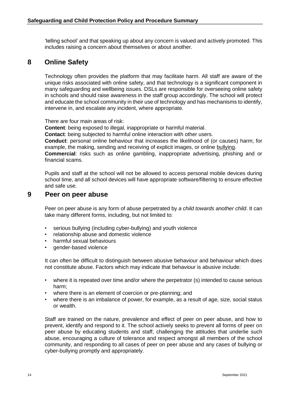'telling school' and that speaking up about any concern is valued and actively promoted. This includes raising a concern about themselves or about another.

## <span id="page-13-0"></span>**8 Online Safety**

Technology often provides the platform that may facilitate harm. All staff are aware of the unique risks associated with online safety, and that technology is a significant component in many safeguarding and wellbeing issues. DSLs are responsible for overseeing online safety in schools and should raise awareness in the staff group accordingly. The school will protect and educate the school community in their use of technology and has mechanisms to identify, intervene in, and escalate any incident, where appropriate.

There are four main areas of risk:

**Content**: being exposed to illegal, inappropriate or harmful material. **Contact**: being subjected to harmful online interaction with other users. **Conduct**: personal online behaviour that increases the likelihood of (or causes) harm; for example, the making, sending and receiving of explicit images, or online bullying. **Commercial**: risks such as online gambling, inappropriate advertising, phishing and or financial scams.

Pupils and staff at the school will not be allowed to access personal mobile devices during school time, and all school devices will have appropriate software/filtering to ensure effective and safe use.

#### <span id="page-13-1"></span>**9 Peer on peer abuse**

Peer on peer abuse is any form of abuse perpetrated by *a child towards another child*. It can take many different forms, including, but not limited to:

- serious bullying (including cyber-bullying) and youth violence
- relationship abuse and domestic violence
- harmful sexual behaviours
- gender-based violence

It can often be difficult to distinguish between abusive behaviour and behaviour which does not constitute abuse. Factors which may indicate that behaviour is abusive include:

- where it is repeated over time and/or where the perpetrator (s) intended to cause serious harm;
- where there is an element of coercion or pre-planning; and
- where there is an imbalance of power, for example, as a result of age, size, social status or wealth.

Staff are trained on the nature, prevalence and effect of peer on peer abuse, and how to prevent, identify and respond to it. The school actively seeks to prevent all forms of peer on peer abuse by educating students and staff, challenging the attitudes that underlie such abuse, encouraging a culture of tolerance and respect amongst all members of the school community, and responding to all cases of peer on peer abuse and any cases of bullying or cyber-bullying promptly and appropriately.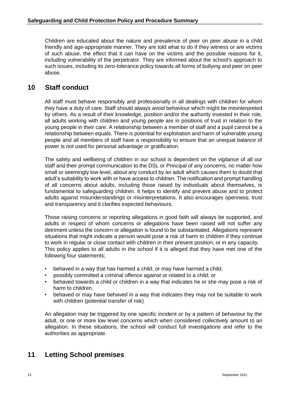Children are educated about the nature and prevalence of peer on peer abuse in a child friendly and age-appropriate manner. They are told what to do if they witness or are victims of such abuse, the effect that it can have on the victims and the possible reasons for it, including vulnerability of the perpetrator. They are informed about the school's approach to such issues, including its zero-tolerance policy towards all forms of bullying and peer on peer abuse.

## <span id="page-14-0"></span>**10 Staff conduct**

All staff must behave responsibly and professionally in all dealings with children for whom they have a duty of care. Staff should always avoid behaviour which might be misinterpreted by others. As a result of their knowledge, position and/or the authority invested in their role, all adults working with children and young people are in positions of trust in relation to the young people in their care. A relationship between a member of staff and a pupil cannot be a relationship between equals. There is potential for exploitation and harm of vulnerable young people and all members of staff have a responsibility to ensure that an unequal balance of power is not used for personal advantage or gratification.

The safety and wellbeing of children in our school is dependent on the vigilance of all our staff and their prompt communication to the DSL or Principal of any concerns, no matter how small or seemingly low level, about any conduct by an adult which causes them to doubt that adult's suitability to work with or have access to children. The notification and prompt handling of all concerns about adults, including those raised by individuals about themselves, is fundamental to safeguarding children. It helps to identify and prevent abuse and to protect adults against misunderstandings or misinterpretations. It also encourages openness, trust and transparency and it clarifies expected behaviours.

Those raising concerns or reporting allegations in good faith will always be supported, and adults in respect of whom concerns or allegations have been raised will not suffer any detriment unless the concern or allegation is found to be substantiated. Allegations represent situations that might indicate a person would pose a risk of harm to children if they continue to work in regular or close contact with children in their present position, or in any capacity. This policy applies to all adults in the school if it is alleged that they have met one of the following four statements;

- behaved in a way that has harmed a child, or may have harmed a child;
- possibly committed a criminal offence against or related to a child; or
- behaved towards a child or children in a way that indicates he or she may pose a risk of harm to children.
- behaved or may have behaved in a way that indicates they may not be suitable to work with children (potential transfer of risk)

An allegation may be triggered by one specific incident or by a pattern of behaviour by the adult, or one or more low level concerns which when considered *collectively* amount to an allegation. In these situations, the school will conduct full investigations and refer to the authorities as appropriate.

## **11 Letting School premises**